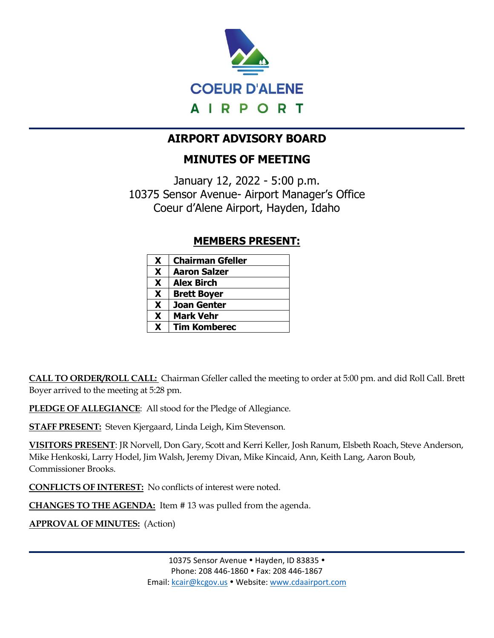

# **AIRPORT ADVISORY BOARD**

# **MINUTES OF MEETING**

January 12, 2022 - 5:00 p.m. 10375 Sensor Avenue- Airport Manager's Office Coeur d'Alene Airport, Hayden, Idaho

## **MEMBERS PRESENT:**

| X | <b>Chairman Gfeller</b> |
|---|-------------------------|
| X | <b>Aaron Salzer</b>     |
| X | <b>Alex Birch</b>       |
| X | <b>Brett Boyer</b>      |
| X | <b>Joan Genter</b>      |
| X | <b>Mark Vehr</b>        |
| X | <b>Tim Komberec</b>     |

**CALL TO ORDER/ROLL CALL:** Chairman Gfeller called the meeting to order at 5:00 pm. and did Roll Call. Brett Boyer arrived to the meeting at 5:28 pm.

**PLEDGE OF ALLEGIANCE**: All stood for the Pledge of Allegiance.

**STAFF PRESENT:** Steven Kjergaard, Linda Leigh, Kim Stevenson.

**VISITORS PRESENT**: JR Norvell, Don Gary, Scott and Kerri Keller, Josh Ranum, Elsbeth Roach, Steve Anderson, Mike Henkoski, Larry Hodel, Jim Walsh, Jeremy Divan, Mike Kincaid, Ann, Keith Lang, Aaron Boub, Commissioner Brooks.

**CONFLICTS OF INTEREST:** No conflicts of interest were noted.

**CHANGES TO THE AGENDA:** Item # 13 was pulled from the agenda.

**APPROVAL OF MINUTES:** (Action)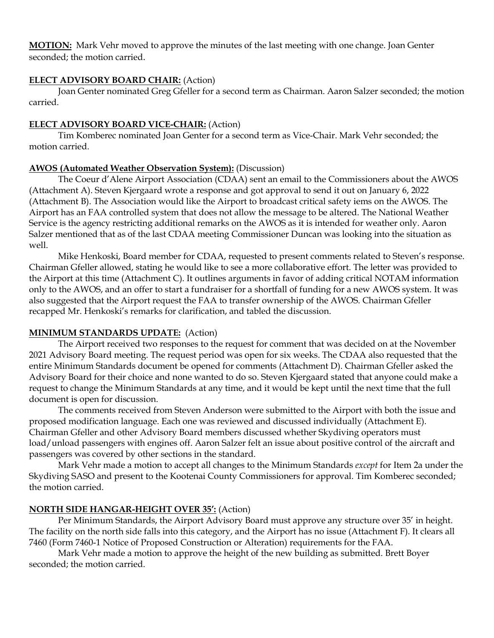**MOTION:** Mark Vehr moved to approve the minutes of the last meeting with one change. Joan Genter seconded; the motion carried.

#### **ELECT ADVISORY BOARD CHAIR:** (Action)

Joan Genter nominated Greg Gfeller for a second term as Chairman. Aaron Salzer seconded; the motion carried.

#### **ELECT ADVISORY BOARD VICE-CHAIR:** (Action)

Tim Komberec nominated Joan Genter for a second term as Vice-Chair. Mark Vehr seconded; the motion carried.

#### **AWOS (Automated Weather Observation System):** (Discussion)

The Coeur d'Alene Airport Association (CDAA) sent an email to the Commissioners about the AWOS (Attachment A). Steven Kjergaard wrote a response and got approval to send it out on January 6, 2022 (Attachment B). The Association would like the Airport to broadcast critical safety iems on the AWOS. The Airport has an FAA controlled system that does not allow the message to be altered. The National Weather Service is the agency restricting additional remarks on the AWOS as it is intended for weather only. Aaron Salzer mentioned that as of the last CDAA meeting Commissioner Duncan was looking into the situation as well.

Mike Henkoski, Board member for CDAA, requested to present comments related to Steven's response. Chairman Gfeller allowed, stating he would like to see a more collaborative effort. The letter was provided to the Airport at this time (Attachment C). It outlines arguments in favor of adding critical NOTAM information only to the AWOS, and an offer to start a fundraiser for a shortfall of funding for a new AWOS system. It was also suggested that the Airport request the FAA to transfer ownership of the AWOS. Chairman Gfeller recapped Mr. Henkoski's remarks for clarification, and tabled the discussion.

#### **MINIMUM STANDARDS UPDATE:** (Action)

The Airport received two responses to the request for comment that was decided on at the November 2021 Advisory Board meeting. The request period was open for six weeks. The CDAA also requested that the entire Minimum Standards document be opened for comments (Attachment D). Chairman Gfeller asked the Advisory Board for their choice and none wanted to do so. Steven Kjergaard stated that anyone could make a request to change the Minimum Standards at any time, and it would be kept until the next time that the full document is open for discussion.

The comments received from Steven Anderson were submitted to the Airport with both the issue and proposed modification language. Each one was reviewed and discussed individually (Attachment E). Chairman Gfeller and other Advisory Board members discussed whether Skydiving operators must load/unload passengers with engines off. Aaron Salzer felt an issue about positive control of the aircraft and passengers was covered by other sections in the standard.

Mark Vehr made a motion to accept all changes to the Minimum Standards *except* for Item 2a under the Skydiving SASO and present to the Kootenai County Commissioners for approval. Tim Komberec seconded; the motion carried.

### **NORTH SIDE HANGAR-HEIGHT OVER 35':** (Action)

Per Minimum Standards, the Airport Advisory Board must approve any structure over 35' in height. The facility on the north side falls into this category, and the Airport has no issue (Attachment F). It clears all 7460 (Form 7460-1 Notice of Proposed Construction or Alteration) requirements for the FAA.

Mark Vehr made a motion to approve the height of the new building as submitted. Brett Boyer seconded; the motion carried.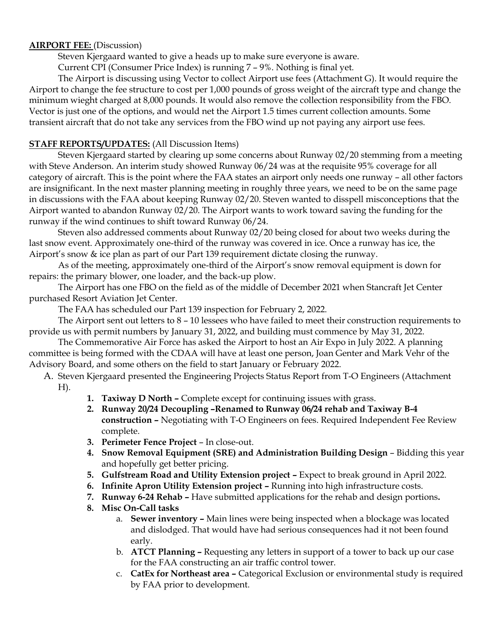#### **AIRPORT FEE:** (Discussion)

Steven Kjergaard wanted to give a heads up to make sure everyone is aware.

Current CPI (Consumer Price Index) is running 7 – 9%. Nothing is final yet.

The Airport is discussing using Vector to collect Airport use fees (Attachment G). It would require the Airport to change the fee structure to cost per 1,000 pounds of gross weight of the aircraft type and change the minimum wieght charged at 8,000 pounds. It would also remove the collection responsibility from the FBO. Vector is just one of the options, and would net the Airport 1.5 times current collection amounts. Some transient aircraft that do not take any services from the FBO wind up not paying any airport use fees.

#### **STAFF REPORTS/UPDATES:** (All Discussion Items)

Steven Kjergaard started by clearing up some concerns about Runway 02/20 stemming from a meeting with Steve Anderson. An interim study showed Runway 06/24 was at the requisite 95% coverage for all category of aircraft. This is the point where the FAA states an airport only needs one runway – all other factors are insignificant. In the next master planning meeting in roughly three years, we need to be on the same page in discussions with the FAA about keeping Runway 02/20. Steven wanted to disspell misconceptions that the Airport wanted to abandon Runway 02/20. The Airport wants to work toward saving the funding for the runway if the wind continues to shift toward Runway 06/24.

Steven also addressed comments about Runway 02/20 being closed for about two weeks during the last snow event. Approximately one-third of the runway was covered in ice. Once a runway has ice, the Airport's snow & ice plan as part of our Part 139 requirement dictate closing the runway.

As of the meeting, approximately one-third of the Airport's snow removal equipment is down for repairs: the primary blower, one loader, and the back-up plow.

The Airport has one FBO on the field as of the middle of December 2021 when Stancraft Jet Center purchased Resort Aviation Jet Center.

The FAA has scheduled our Part 139 inspection for February 2, 2022.

The Airport sent out letters to 8 – 10 lessees who have failed to meet their construction requirements to provide us with permit numbers by January 31, 2022, and building must commence by May 31, 2022.

The Commemorative Air Force has asked the Airport to host an Air Expo in July 2022. A planning committee is being formed with the CDAA will have at least one person, Joan Genter and Mark Vehr of the Advisory Board, and some others on the field to start January or February 2022.

A. Steven Kjergaard presented the Engineering Projects Status Report from T-O Engineers (Attachment H).

- **1. Taxiway D North –** Complete except for continuing issues with grass.
- **2. Runway 20/24 Decoupling –Renamed to Runway 06/24 rehab and Taxiway B-4 construction –** Negotiating with T-O Engineers on fees. Required Independent Fee Review complete.
- **3. Perimeter Fence Project** In close-out.
- **4. Snow Removal Equipment (SRE) and Administration Building Design** Bidding this year and hopefully get better pricing.
- **5. Gulfstream Road and Utility Extension project –** Expect to break ground in April 2022.
- **6. Infinite Apron Utility Extension project –** Running into high infrastructure costs.
- **7. Runway 6-24 Rehab –** Have submitted applications for the rehab and design portions**.**
- **8. Misc On-Call tasks**
	- a. **Sewer inventory –** Main lines were being inspected when a blockage was located and dislodged. That would have had serious consequences had it not been found early.
	- b. **ATCT Planning –** Requesting any letters in support of a tower to back up our case for the FAA constructing an air traffic control tower.
	- c. **CatEx for Northeast area –** Categorical Exclusion or environmental study is required by FAA prior to development.